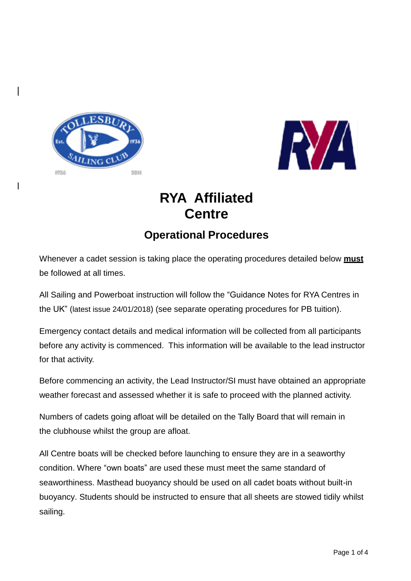



# **RYA Affiliated Centre**

## **Operational Procedures**

Whenever a cadet session is taking place the operating procedures detailed below **must** be followed at all times.

All Sailing and Powerboat instruction will follow the "Guidance Notes for RYA Centres in the UK" (latest issue 24/01/2018) (see separate operating procedures for PB tuition).

Emergency contact details and medical information will be collected from all participants before any activity is commenced. This information will be available to the lead instructor for that activity.

Before commencing an activity, the Lead Instructor/SI must have obtained an appropriate weather forecast and assessed whether it is safe to proceed with the planned activity.

Numbers of cadets going afloat will be detailed on the Tally Board that will remain in the clubhouse whilst the group are afloat.

All Centre boats will be checked before launching to ensure they are in a seaworthy condition. Where "own boats" are used these must meet the same standard of seaworthiness. Masthead buoyancy should be used on all cadet boats without built-in buoyancy. Students should be instructed to ensure that all sheets are stowed tidily whilst sailing.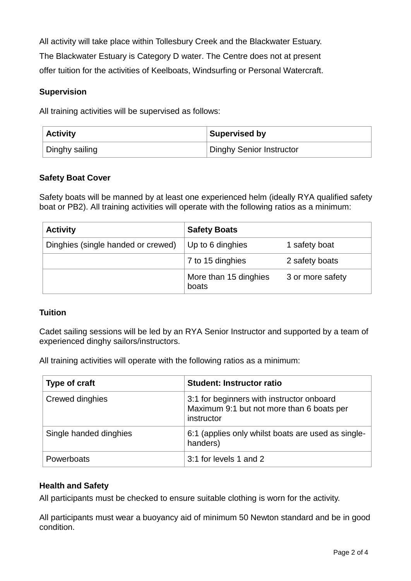All activity will take place within Tollesbury Creek and the Blackwater Estuary. The Blackwater Estuary is Category D water. The Centre does not at present offer tuition for the activities of Keelboats, Windsurfing or Personal Watercraft.

### **Supervision**

All training activities will be supervised as follows:

| <b>Activity</b> | Supervised by            |
|-----------------|--------------------------|
| Dinghy sailing  | Dinghy Senior Instructor |

### **Safety Boat Cover**

Safety boats will be manned by at least one experienced helm (ideally RYA qualified safety boat or PB2). All training activities will operate with the following ratios as a minimum:

| <b>Activity</b>                    | <b>Safety Boats</b>            |                  |
|------------------------------------|--------------------------------|------------------|
| Dinghies (single handed or crewed) | Up to 6 dinghies               | 1 safety boat    |
|                                    | 7 to 15 dinghies               | 2 safety boats   |
|                                    | More than 15 dinghies<br>boats | 3 or more safety |

#### **Tuition**

Cadet sailing sessions will be led by an RYA Senior Instructor and supported by a team of experienced dinghy sailors/instructors.

All training activities will operate with the following ratios as a minimum:

| Type of craft          | <b>Student: Instructor ratio</b>                                                                     |
|------------------------|------------------------------------------------------------------------------------------------------|
| Crewed dinghies        | 3:1 for beginners with instructor onboard<br>Maximum 9:1 but not more than 6 boats per<br>instructor |
| Single handed dinghies | 6:1 (applies only whilst boats are used as single-<br>handers)                                       |
| Powerboats             | 3:1 for levels 1 and 2                                                                               |

#### **Health and Safety**

All participants must be checked to ensure suitable clothing is worn for the activity.

All participants must wear a buoyancy aid of minimum 50 Newton standard and be in good condition.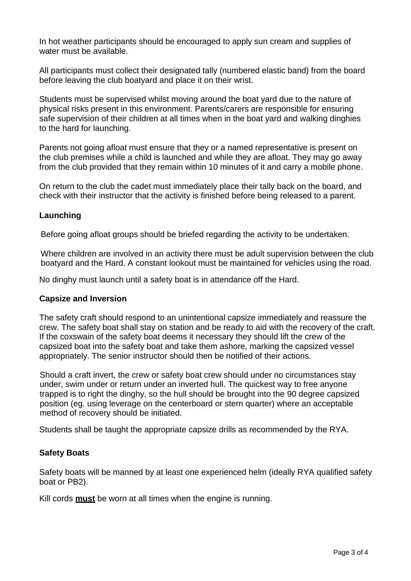In hot weather participants should be encouraged to apply sun cream and supplies of water must be available.

All participants must collect their designated tally (numbered elastic band) from the board before leaving the club boatyard and place it on their wrist.

Students must be supervised whilst moving around the boat yard due to the nature of physical risks present in this environment. Parents/carers are responsible for ensuring safe supervision of their children at all times when in the boat yard and walking dinghies to the hard for launching.

Parents not going afloat must ensure that they or a named representative is present on the club premises while a child is launched and while they are afloat. They may go away from the club provided that they remain within 10 minutes of it and carry a mobile phone.

On return to the club the cadet must immediately place their tally back on the board, and check with their instructor that the activity is finished before being released to a parent.

#### **Launching**

Before going afloat groups should be briefed regarding the activity to be undertaken.

Where children are involved in an activity there must be adult supervision between the club boatyard and the Hard. A constant lookout must be maintained for vehicles using the road.

No dinghy must launch until a safety boat is in attendance off the Hard.

#### **Capsize and Inversion**

The safety craft should respond to an unintentional capsize immediately and reassure the crew. The safety boat shall stay on station and be ready to aid with the recovery of the craft. If the coxswain of the safety boat deems it necessary they should lift the crew of the capsized boat into the safety boat and take them ashore, marking the capsized vessel appropriately. The senior instructor should then be notified of their actions.

Should a craft invert, the crew or safety boat crew should under no circumstances stay under, swim under or return under an inverted hull. The quickest way to free anyone trapped is to right the dinghy, so the hull should be brought into the 90 degree capsized position (eg. using leverage on the centerboard or stern quarter) where an acceptable method of recovery should be initiated.

Students shall be taught the appropriate capsize drills as recommended by the RYA.

#### **Safety Boats**

Safety boats will be manned by at least one experienced helm (ideally RYA qualified safety boat or PB2).

Kill cords **must** be worn at all times when the engine is running.